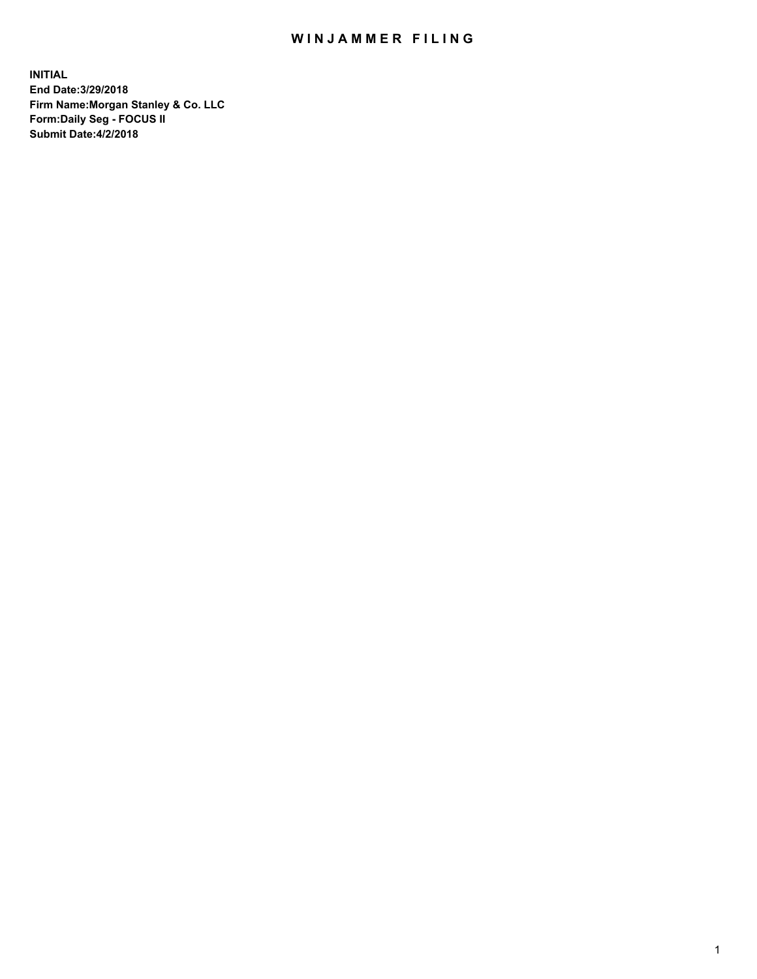## WIN JAMMER FILING

**INITIAL End Date:3/29/2018 Firm Name:Morgan Stanley & Co. LLC Form:Daily Seg - FOCUS II Submit Date:4/2/2018**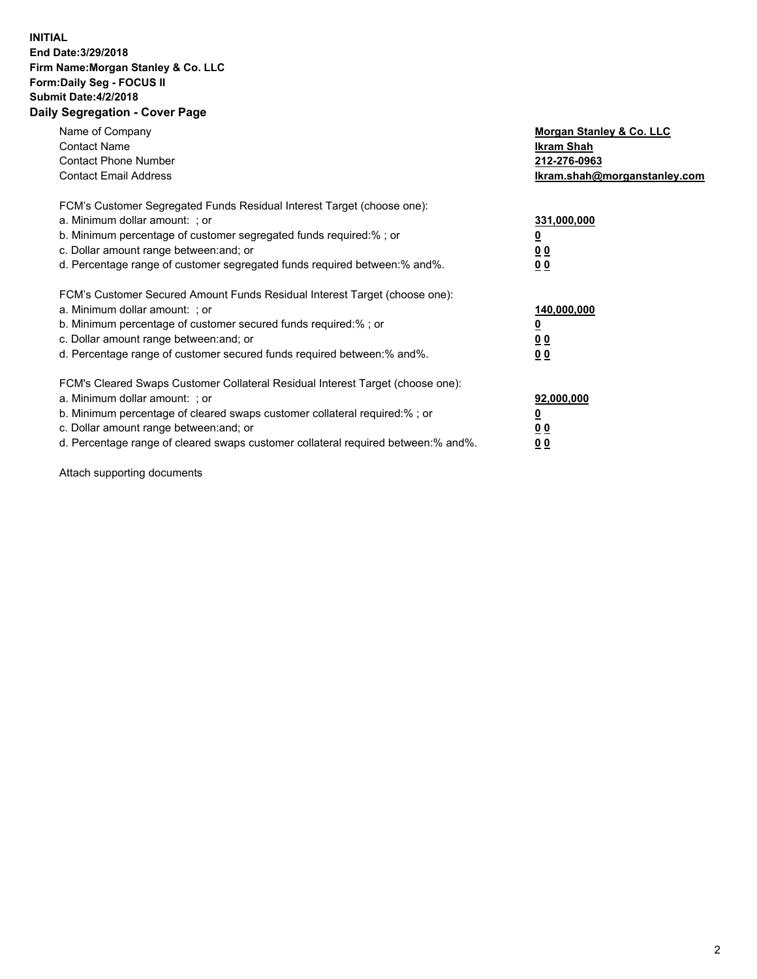## **INITIAL End Date:3/29/2018 Firm Name:Morgan Stanley & Co. LLC Form:Daily Seg - FOCUS II Submit Date:4/2/2018 Daily Segregation - Cover Page**

| Name of Company<br><b>Contact Name</b><br><b>Contact Phone Number</b><br><b>Contact Email Address</b>                                                                                                                                                                                                                          | Morgan Stanley & Co. LLC<br>Ikram Shah<br>212-276-0963<br>lkram.shah@morganstanley.com |
|--------------------------------------------------------------------------------------------------------------------------------------------------------------------------------------------------------------------------------------------------------------------------------------------------------------------------------|----------------------------------------------------------------------------------------|
| FCM's Customer Segregated Funds Residual Interest Target (choose one):<br>a. Minimum dollar amount: ; or<br>b. Minimum percentage of customer segregated funds required:%; or<br>c. Dollar amount range between: and; or<br>d. Percentage range of customer segregated funds required between: % and %.                        | 331,000,000<br>0 <sub>0</sub><br>00                                                    |
| FCM's Customer Secured Amount Funds Residual Interest Target (choose one):<br>a. Minimum dollar amount: ; or<br>b. Minimum percentage of customer secured funds required:%; or<br>c. Dollar amount range between: and; or<br>d. Percentage range of customer secured funds required between:% and%.                            | 140,000,000<br>0 <sub>0</sub><br>0 <sub>0</sub>                                        |
| FCM's Cleared Swaps Customer Collateral Residual Interest Target (choose one):<br>a. Minimum dollar amount: ; or<br>b. Minimum percentage of cleared swaps customer collateral required:% ; or<br>c. Dollar amount range between: and; or<br>d. Percentage range of cleared swaps customer collateral required between:% and%. | 92,000,000<br>0 <sub>0</sub><br>0 <sub>0</sub>                                         |

Attach supporting documents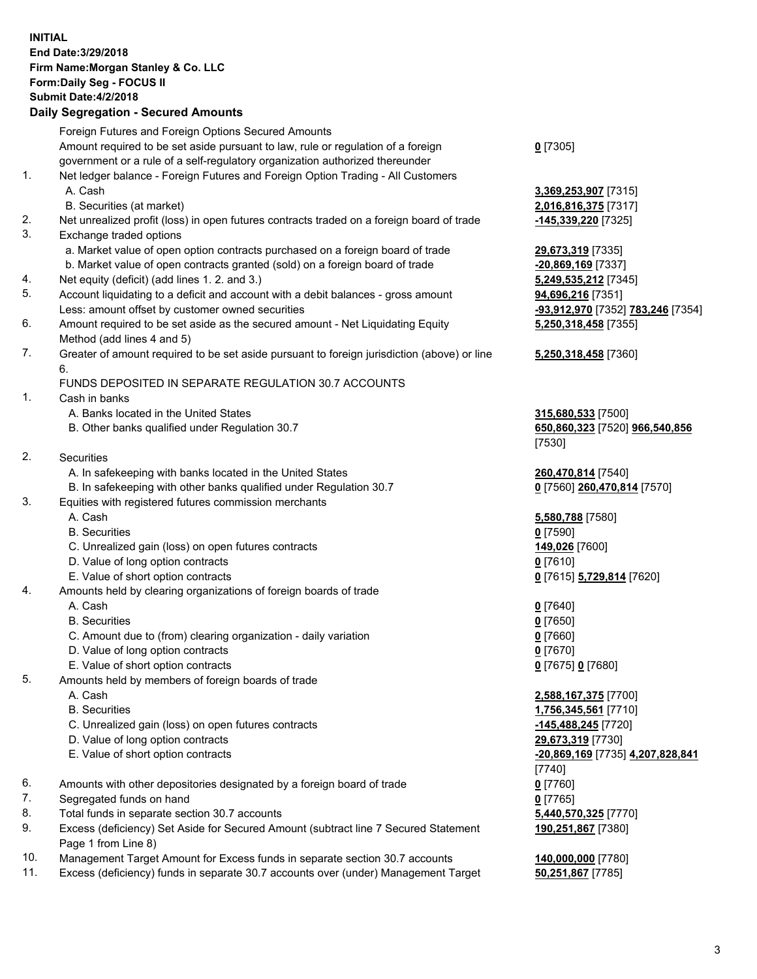## **INITIAL End Date:3/29/2018 Firm Name:Morgan Stanley & Co. LLC Form:Daily Seg - FOCUS II Submit Date:4/2/2018**

## **Daily Segregation - Secured Amounts**

|                | Foreign Futures and Foreign Options Secured Amounts                                                          |                                   |
|----------------|--------------------------------------------------------------------------------------------------------------|-----------------------------------|
|                | Amount required to be set aside pursuant to law, rule or regulation of a foreign                             | $0$ [7305]                        |
| 1.             | government or a rule of a self-regulatory organization authorized thereunder                                 |                                   |
|                | Net ledger balance - Foreign Futures and Foreign Option Trading - All Customers<br>A. Cash                   |                                   |
|                |                                                                                                              | 3,369,253,907 [7315]              |
|                | B. Securities (at market)                                                                                    | 2,016,816,375 [7317]              |
| 2.<br>3.       | Net unrealized profit (loss) in open futures contracts traded on a foreign board of trade                    | <u>-145,339,220</u> [7325]        |
|                | Exchange traded options                                                                                      |                                   |
|                | a. Market value of open option contracts purchased on a foreign board of trade                               | 29,673,319 [7335]                 |
|                | b. Market value of open contracts granted (sold) on a foreign board of trade                                 | -20,869,169 [7337]                |
| 4.             | Net equity (deficit) (add lines 1. 2. and 3.)                                                                | 5,249,535,212 [7345]              |
| 5.             | Account liquidating to a deficit and account with a debit balances - gross amount                            | 94,696,216 [7351]                 |
|                | Less: amount offset by customer owned securities                                                             | -93,912,970 [7352] 783,246 [7354] |
| 6.             | Amount required to be set aside as the secured amount - Net Liquidating Equity<br>Method (add lines 4 and 5) | 5,250,318,458 [7355]              |
| 7.             | Greater of amount required to be set aside pursuant to foreign jurisdiction (above) or line<br>6.            | 5,250,318,458 [7360]              |
|                | FUNDS DEPOSITED IN SEPARATE REGULATION 30.7 ACCOUNTS                                                         |                                   |
| $\mathbf{1}$ . | Cash in banks                                                                                                |                                   |
|                | A. Banks located in the United States                                                                        | 315,680,533 [7500]                |
|                | B. Other banks qualified under Regulation 30.7                                                               | 650,860,323 [7520] 966,540,856    |
|                |                                                                                                              | [7530]                            |
| 2.             | Securities                                                                                                   |                                   |
|                | A. In safekeeping with banks located in the United States                                                    | 260,470,814 [7540]                |
|                | B. In safekeeping with other banks qualified under Regulation 30.7                                           | 0 [7560] 260,470,814 [7570]       |
| 3.             | Equities with registered futures commission merchants                                                        |                                   |
|                | A. Cash                                                                                                      | 5,580,788 [7580]                  |
|                | <b>B.</b> Securities                                                                                         | $0$ [7590]                        |
|                | C. Unrealized gain (loss) on open futures contracts                                                          | 149,026 [7600]                    |
|                | D. Value of long option contracts                                                                            | $0$ [7610]                        |
|                | E. Value of short option contracts                                                                           | 0 [7615] 5,729,814 [7620]         |
| 4.             | Amounts held by clearing organizations of foreign boards of trade                                            |                                   |
|                | A. Cash                                                                                                      | $0$ [7640]                        |
|                | <b>B.</b> Securities                                                                                         | $0$ [7650]                        |
|                | C. Amount due to (from) clearing organization - daily variation                                              | $0$ [7660]                        |
|                | D. Value of long option contracts                                                                            | 0 [7670]                          |
|                | E. Value of short option contracts                                                                           | 0 [7675] 0 [7680]                 |
| 5.             | Amounts held by members of foreign boards of trade                                                           |                                   |
|                | A. Cash                                                                                                      | 2,588,167,375 [7700]              |
|                | <b>B.</b> Securities                                                                                         | 1,756,345,561 [7710]              |
|                | C. Unrealized gain (loss) on open futures contracts                                                          | $-145,488,245$ [7720]             |
|                | D. Value of long option contracts                                                                            | 29,673,319 [7730]                 |
|                | E. Value of short option contracts                                                                           | -20,869,169 [7735] 4,207,828,841  |
|                |                                                                                                              | $[7740]$                          |
| 6.             | Amounts with other depositories designated by a foreign board of trade                                       | $0$ [7760]                        |
| 7.             | Segregated funds on hand                                                                                     | $0$ [7765]                        |
| 8.             | Total funds in separate section 30.7 accounts                                                                | 5,440,570,325 [7770]              |
| 9.             | Excess (deficiency) Set Aside for Secured Amount (subtract line 7 Secured Statement                          | 190,251,867 [7380]                |
|                | Page 1 from Line 8)                                                                                          |                                   |
|                |                                                                                                              |                                   |

- 10. Management Target Amount for Excess funds in separate section 30.7 accounts **140,000,000** [7780]
- 11. Excess (deficiency) funds in separate 30.7 accounts over (under) Management Target **50,251,867** [7785]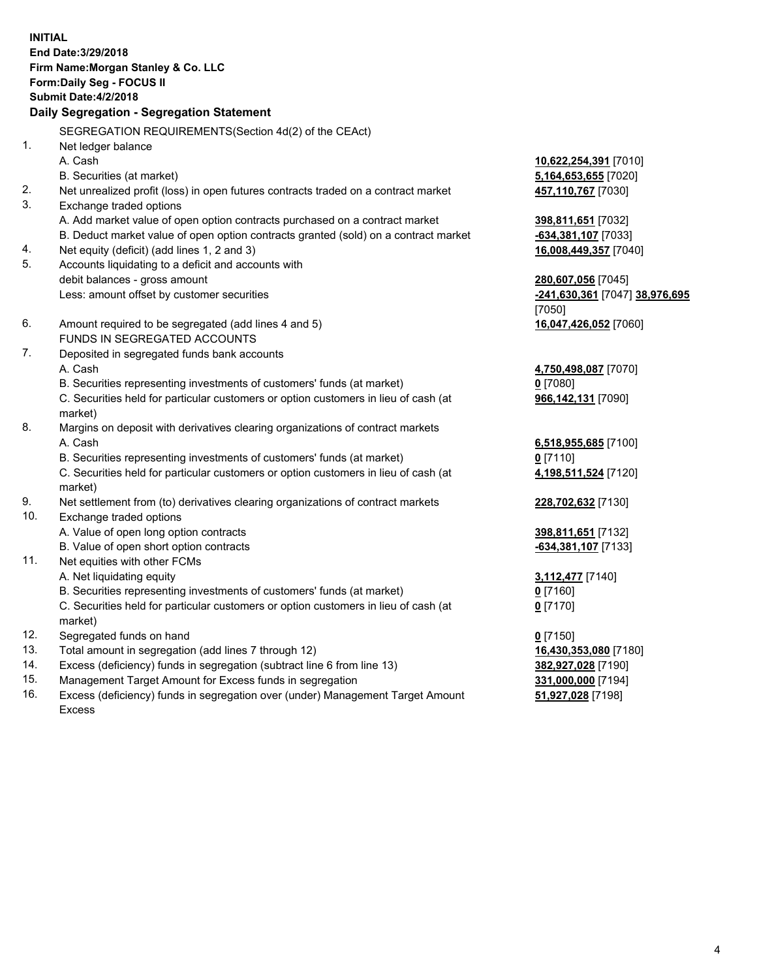**INITIAL End Date:3/29/2018 Firm Name:Morgan Stanley & Co. LLC Form:Daily Seg - FOCUS II Submit Date:4/2/2018 Daily Segregation - Segregation Statement** SEGREGATION REQUIREMENTS(Section 4d(2) of the CEAct) 1. Net ledger balance A. Cash **10,622,254,391** [7010] B. Securities (at market) **5,164,653,655** [7020] 2. Net unrealized profit (loss) in open futures contracts traded on a contract market **457,110,767** [7030] 3. Exchange traded options A. Add market value of open option contracts purchased on a contract market **398,811,651** [7032] B. Deduct market value of open option contracts granted (sold) on a contract market **-634,381,107** [7033] 4. Net equity (deficit) (add lines 1, 2 and 3) **16,008,449,357** [7040] 5. Accounts liquidating to a deficit and accounts with debit balances - gross amount **280,607,056** [7045] Less: amount offset by customer securities **-241,630,361** [7047] **38,976,695** [7050] 6. Amount required to be segregated (add lines 4 and 5) **16,047,426,052** [7060] FUNDS IN SEGREGATED ACCOUNTS 7. Deposited in segregated funds bank accounts A. Cash **4,750,498,087** [7070] B. Securities representing investments of customers' funds (at market) **0** [7080] C. Securities held for particular customers or option customers in lieu of cash (at market) **966,142,131** [7090] 8. Margins on deposit with derivatives clearing organizations of contract markets A. Cash **6,518,955,685** [7100] B. Securities representing investments of customers' funds (at market) **0** [7110] C. Securities held for particular customers or option customers in lieu of cash (at market) **4,198,511,524** [7120] 9. Net settlement from (to) derivatives clearing organizations of contract markets **228,702,632** [7130] 10. Exchange traded options A. Value of open long option contracts **398,811,651** [7132] B. Value of open short option contracts **-634,381,107** [7133] 11. Net equities with other FCMs A. Net liquidating equity **3,112,477** [7140] B. Securities representing investments of customers' funds (at market) **0** [7160] C. Securities held for particular customers or option customers in lieu of cash (at market) **0** [7170] 12. Segregated funds on hand **0** [7150] 13. Total amount in segregation (add lines 7 through 12) **16,430,353,080** [7180] 14. Excess (deficiency) funds in segregation (subtract line 6 from line 13) **382,927,028** [7190]

- 15. Management Target Amount for Excess funds in segregation **331,000,000** [7194]
- 16. Excess (deficiency) funds in segregation over (under) Management Target Amount Excess

**51,927,028** [7198]